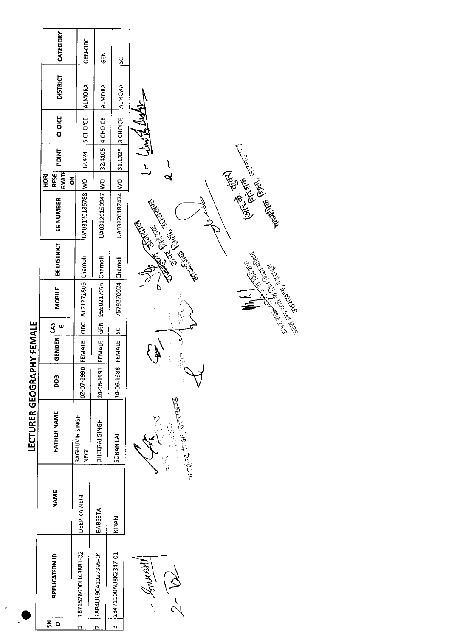|                   | CATEGDRY              | GEN-OBC                | $rac{z}{\sigma}$        | ပ္တ                 |                                                                                                                                                                                                                                      |
|-------------------|-----------------------|------------------------|-------------------------|---------------------|--------------------------------------------------------------------------------------------------------------------------------------------------------------------------------------------------------------------------------------|
|                   | <b>DISTRICT</b>       | <b>ALMORA</b>          | <b>ALMORA</b>           | <b>ALMORA</b>       |                                                                                                                                                                                                                                      |
|                   | <b>CHOICE</b>         | 5 CHOICE               | 4 CHOICE                | 3 CHOICE            | てんでけ                                                                                                                                                                                                                                 |
|                   | <b>TNIC4</b>          | 32.424                 | 32.4105                 | 31.1325             | $\frac{1}{2}$<br>l                                                                                                                                                                                                                   |
|                   | RESE<br>HORI<br>δ     |                        |                         |                     | વ                                                                                                                                                                                                                                    |
|                   | EE NUMBER             | UA03120185788 WO       | UA03120159947 WO        | UA03120187474 WO    | <b>Contract of Contract of Contract of Contract of Contract of Contract of Contract of Contract of Contract of Contract of Contract of Contract of Contract of Contract of Contract of Contract of Contract of Contract of Contr</b> |
|                   | EE DISTRICT           |                        |                         |                     |                                                                                                                                                                                                                                      |
|                   | MOBILE                | 8171271806 Chamoli     | 9690217016 Chamoli      | 7579270024 Chamoli  | <b>Commentary Report Report Report Property Comments</b><br>Ţ<br>$\frac{1}{\sqrt{2}}$                                                                                                                                                |
|                   | CAST<br>ш             | <b>OBC</b>             | <b>ABD</b>              | Χ                   |                                                                                                                                                                                                                                      |
| <b>YFEMALE</b>    | <b>GENDER</b>         | FEMALE                 | FEMALE                  | FEMALE              | ģ<br>i.                                                                                                                                                                                                                              |
|                   | BOO                   | 02-07-1990             | 24-06-1991              | 14-06-1988          | Y.                                                                                                                                                                                                                                   |
| LECTURER GEOGRAPH | FATHER NAME           | RAGHUVIR SINGH<br>NEGI | DHEERAJ SINGH           | SOBAN LAL           | <sub>मार्जीने</sub> शिक्षा, उत्तराखण्ड                                                                                                                                                                                               |
|                   | <b>NAME</b>           | DEEPIKA NEGI           | BABEETA                 | KIRAN               |                                                                                                                                                                                                                                      |
|                   | <b>APPLICATION ID</b> | 187152800DUA3881-02    | 18B4U190A1027395-04     | 18471100AU8K2347-01 | $1 - \frac{1}{2}$                                                                                                                                                                                                                    |
|                   | $\zeta$<br>$\circ$    | $\mathbf{r}$           | $\overline{\mathbf{C}}$ | $\mathbf{c}$        |                                                                                                                                                                                                                                      |

 $\hat{\mathcal{L}}$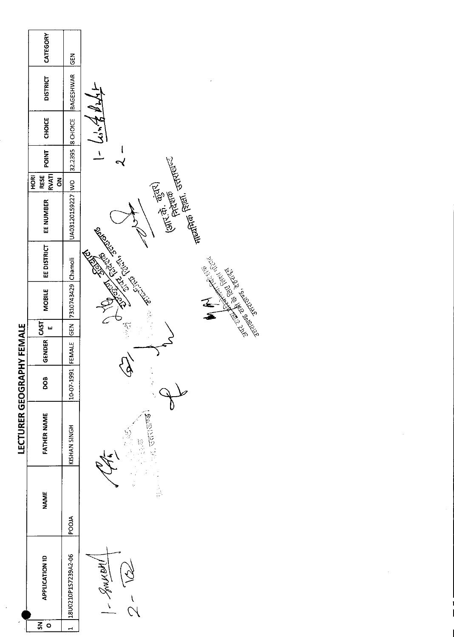|                         | CATEGORY                                 | EN<br>U             |                                                                                                                                                                                                                                                                 |
|-------------------------|------------------------------------------|---------------------|-----------------------------------------------------------------------------------------------------------------------------------------------------------------------------------------------------------------------------------------------------------------|
|                         | <b>DISTRICT</b>                          | BAGESHWAR           |                                                                                                                                                                                                                                                                 |
|                         | <b>CHOICE</b>                            | <b>B</b> CHOICE     | いてきかん                                                                                                                                                                                                                                                           |
|                         | POINT                                    | 32.2395             | $\boldsymbol{\mathcal{N}}$                                                                                                                                                                                                                                      |
|                         | <b>RVATI</b><br><b>RESE</b><br>HORI<br>ã |                     |                                                                                                                                                                                                                                                                 |
|                         | EE NUMBER                                | UA03120159227 WO    | $(5\pi, \frac{\pi}{2}, \frac{\pi}{2}, \frac{\pi}{2})$<br>Freezon Stranger                                                                                                                                                                                       |
|                         | <b>EE DISTRICT</b>                       |                     | <b>Contract Contract Contract Contract Contract Contract Contract Contract Contract Contract Contract Contract Contract Contract Contract Contract Contract Contract Contract Contract Contract Contract Contract Contract Contr</b><br>Red Barbara Red Barbara |
|                         | <b>MOBILE</b>                            | 7310743429 Chamoli  |                                                                                                                                                                                                                                                                 |
|                         | CAS <br>ш                                | <b>GEN</b>          |                                                                                                                                                                                                                                                                 |
| <b>HY FEMALE</b>        | <b>GENDER</b>                            | FEMALE              |                                                                                                                                                                                                                                                                 |
|                         | DOB                                      | 10-07-1991          |                                                                                                                                                                                                                                                                 |
| <b>LECTURER GEOGRAP</b> | FATHER NAME                              | KISHAN SINGH        | <b>PEDITED</b><br><b>B</b>                                                                                                                                                                                                                                      |
|                         | <b>NAME</b>                              | POOIA               |                                                                                                                                                                                                                                                                 |
|                         | <b>APPLICATION ID</b>                    | 18U0210P1S7239A2-06 | $1 - \frac{1}{2}$                                                                                                                                                                                                                                               |
|                         | $\overline{\mathbf{s}}$<br>$\circ$       | $\overline{ }$      |                                                                                                                                                                                                                                                                 |

 $\hat{\boldsymbol{\gamma}}$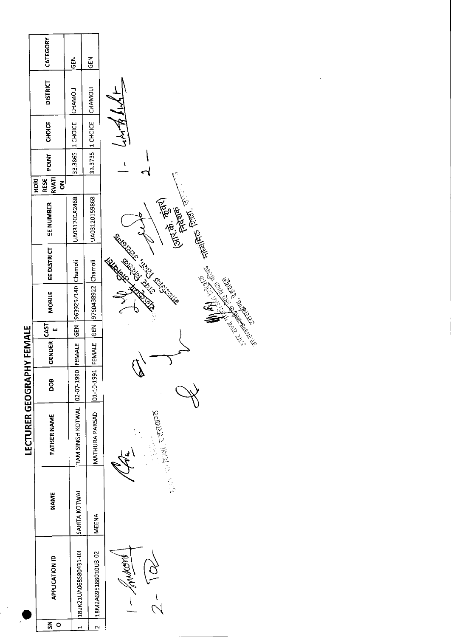|                           | CATEGORY                                 | $\tilde{5}$          | GEN                 |                                                                                                                                                                                                                                      |
|---------------------------|------------------------------------------|----------------------|---------------------|--------------------------------------------------------------------------------------------------------------------------------------------------------------------------------------------------------------------------------------|
|                           | <b>DISTRICT</b>                          | CHAMOLI              | <b>CHAMOLI</b>      |                                                                                                                                                                                                                                      |
|                           | <b>CHOICE</b>                            | 1 CHOICE             | 1 CHOICE            | てだえて                                                                                                                                                                                                                                 |
|                           | <b>POINT</b>                             | 33.3865              | 33.3735             | t                                                                                                                                                                                                                                    |
|                           | <b>RVATI</b><br><b>RESE</b><br>HORI<br>š |                      |                     |                                                                                                                                                                                                                                      |
|                           | EE NUMBER                                | UA03120182468        | UA03120159868       | $(3\pi^{2}\vec{\theta}, \frac{\vec{\theta}_{3}}{2})$<br>$(3\pi^{2}\vec{\theta}, \frac{\vec{\theta}_{3}}{2})$                                                                                                                         |
|                           | <b>EE DISTRICT</b>                       | Chamoli              |                     | <b>Contract Contract Contract Contract Contract Contract Contract Contract Contract Contract Contract Contract Contract Contract Contract Contract Contract Contract Contract Contract Contract Contract Contract Contract Contr</b> |
|                           | MOBILE                                   | 9639257140           | 9760438922 Chamoli  | And the Company of the Company of the Company of the Company of the Company of the Company of the Company of the Company of the Company of the Company of the Company of the Company of the Company of the Company of the Comp       |
|                           | ш                                        | <b>GEN</b>           | <b>KBD</b>          |                                                                                                                                                                                                                                      |
| LECTURER GEOGRAPHY FEMALE | $ \texttt{GENDER}  \texttt{CAST}  $      | FEMALE               | FEMALE              |                                                                                                                                                                                                                                      |
|                           | DOB                                      | 02-07-1990           | 101-10-1991         | ∾                                                                                                                                                                                                                                    |
|                           | <b>FATHER NAME</b>                       | RAM SINGH KOTWAL     | MATHURA PARSAD      | <sub>गुहो</sub> ं हाओ, उत्तराखण्ड<br><br>$\frac{1}{2}$ , then $\mathcal{O}$                                                                                                                                                          |
|                           | <b>NAME</b>                              | SARITA KOTWAL        | MEENA               |                                                                                                                                                                                                                                      |
|                           | <b>APPLICATION ID</b>                    | 182K21UA068580431-03 | 18M2A695188010U3-02 | okomnet-                                                                                                                                                                                                                             |
|                           | 롰<br>$\circ$                             |                      |                     |                                                                                                                                                                                                                                      |

 $\mathbb{R}^2$ 

 $\label{eq:2.1} \frac{1}{\sqrt{2}}\int_{\mathbb{R}^3}\frac{1}{\sqrt{2}}\left(\frac{1}{\sqrt{2}}\right)^2\frac{1}{\sqrt{2}}\left(\frac{1}{\sqrt{2}}\right)^2\frac{1}{\sqrt{2}}\left(\frac{1}{\sqrt{2}}\right)^2.$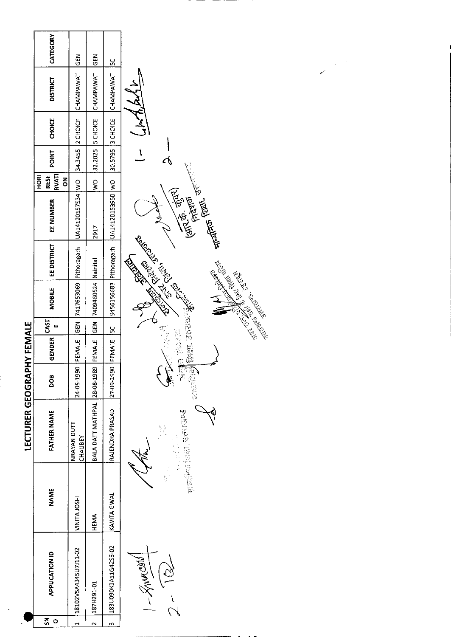|                         | CATEGORY                          | <b>SEN</b>             | GEN                          | <u>50</u>            |                                                                                                                                                                                                                                                                       |
|-------------------------|-----------------------------------|------------------------|------------------------------|----------------------|-----------------------------------------------------------------------------------------------------------------------------------------------------------------------------------------------------------------------------------------------------------------------|
|                         | <b>DISTRICT</b>                   | CHAMPAWAT              | CHAMPAWAT                    | CHAMPAWAT            |                                                                                                                                                                                                                                                                       |
|                         | <b>CHOICE</b>                     | 2 CHOICE               | <b>S</b> CHOICE              | 3 CHOICE             | ן<br>א                                                                                                                                                                                                                                                                |
|                         | POINT                             | 34.3455                | 32.2025                      | 30.5795              | I<br>ক                                                                                                                                                                                                                                                                |
|                         | RVAT <br>RESE<br><b>HORI</b><br>š |                        | $\frac{1}{2}$                |                      |                                                                                                                                                                                                                                                                       |
|                         | EE NUMBER                         | UA14120157534 WO       | 2917                         | UA14120153950 WO     | Allen Belli, Tr.<br>(M. 8. 9586)<br>(M. 8. 95866)                                                                                                                                                                                                                     |
|                         | <b>EE DISTRICT</b>                | Pithoragarh            |                              | Pithoragarh          | <b>Contact of Changes Report Report Report Report Report Report Report Report Report Report Report Report Report Report Report Report Report Report Report Report Report Report Report Report Report Report Report Report Report</b><br><b>CONTROLLER BOOM STATES</b> |
|                         | MOBILE                            | 7417653069             | 7409460524 Nainital          | 9456156683           |                                                                                                                                                                                                                                                                       |
|                         | CAST<br>ш                         | $rac{5}{6}$            | $\overline{\text{ES}}$       | <u>sc</u>            |                                                                                                                                                                                                                                                                       |
| <b>HY FEMALE</b>        | GENDER                            | FEMALE                 | FEMALE                       | FEMALE               |                                                                                                                                                                                                                                                                       |
|                         | DOB                               | 24-05-1990             |                              | 27-09-1990           | $\frac{1}{N}$<br>្ត<br>្រុ<br>Į.                                                                                                                                                                                                                                      |
| <b>LECTURER GEOGRAP</b> | <b>FATHER NAME</b>                | NRAYAN DUTT<br>CHAUBEY | BALA DATT MATHPAL 28-08-1989 | RAJENDRA PRASAD      | Freehen Man, Gercer                                                                                                                                                                                                                                                   |
|                         | <b>NAME</b>                       | VINITA JOSH            | <b>HEMA</b>                  | KAVITA GWAL          |                                                                                                                                                                                                                                                                       |
|                         | <b>APPLICATION ID</b>             | 18102V5A4345U7J11-02   | 187H291-01                   | 183U090K1A11G42S5-02 | <b>RAMON</b>                                                                                                                                                                                                                                                          |
|                         | $\zeta$<br>$\circ$                | پ                      | $\sim$                       | m                    |                                                                                                                                                                                                                                                                       |

 $\vdots$ 

 $\mathcal{L}_{\mathcal{A}}$ 

Ξ <u>т</u>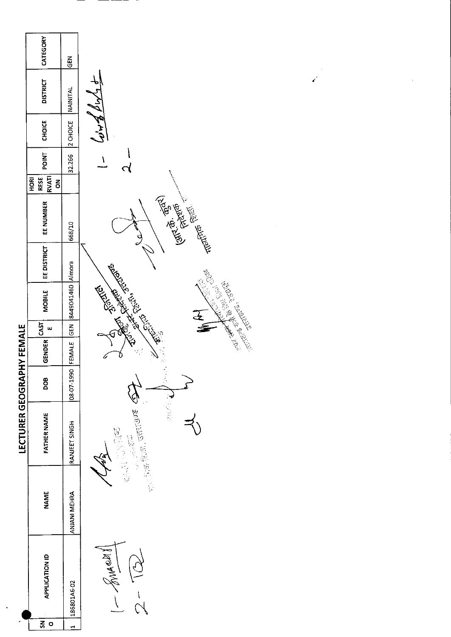|                         | CATEGORY                          | <b>GEN</b>            |                                                                                                                                                                                                                                                                                                                                                                                                                                                                                                                 |
|-------------------------|-----------------------------------|-----------------------|-----------------------------------------------------------------------------------------------------------------------------------------------------------------------------------------------------------------------------------------------------------------------------------------------------------------------------------------------------------------------------------------------------------------------------------------------------------------------------------------------------------------|
|                         | <b>DISTRICT</b>                   | <b>NAINITAL</b>       |                                                                                                                                                                                                                                                                                                                                                                                                                                                                                                                 |
|                         | <b>CHOICE</b>                     | 2 CHOICE              | きんせる                                                                                                                                                                                                                                                                                                                                                                                                                                                                                                            |
|                         | POINT                             | 32.266                | I                                                                                                                                                                                                                                                                                                                                                                                                                                                                                                               |
|                         | <b>RVATI</b><br>HORI<br>RESE<br>õ |                       |                                                                                                                                                                                                                                                                                                                                                                                                                                                                                                                 |
|                         | EE NUMBER                         | 668/10                | <b>Cally of the Contract of Contract of Contract of Contract of Contract of Contract of Contract of Contract of Contract of Contract of Contract of Contract of Contract of Contract of Contract of Contract of Contract of Cont</b><br>$\partial$                                                                                                                                                                                                                                                              |
|                         | EE DISTRICT                       |                       |                                                                                                                                                                                                                                                                                                                                                                                                                                                                                                                 |
|                         | <b>MOBILE</b>                     | GEN 8449041460 Almora | <b>Contract of Contract of Contract of Contract of Contract of Contract of Contract of Contract of Contract of Contract of Contract of Contract of Contract of Contract of Contract of Contract of Contract of Contract of Contr</b><br>Control Marie Region                                                                                                                                                                                                                                                    |
|                         | CAST<br>w                         |                       | 医毒                                                                                                                                                                                                                                                                                                                                                                                                                                                                                                              |
| <b>HY FEMALE</b>        | <b>GENDER</b>                     |                       |                                                                                                                                                                                                                                                                                                                                                                                                                                                                                                                 |
|                         | DOB                               | 08-07-1990 FEMALE     | J.                                                                                                                                                                                                                                                                                                                                                                                                                                                                                                              |
| <b>LECTURER GEOGRAP</b> | <b>FATHER NAME</b>                | RANJEET SINGH         | 一、大家、<br>$\frac{1}{\mathcal{R}^2_{\text{tot}}(\mathcal{R})} \frac{1}{\mathcal{R}^2_{\text{tot}}(\mathcal{R})} \frac{1}{\mathcal{R}^2_{\text{tot}}(\mathcal{R})} \frac{1}{\mathcal{R}^2_{\text{tot}}(\mathcal{R})} \frac{1}{\mathcal{R}^2_{\text{tot}}(\mathcal{R})} \frac{1}{\mathcal{R}^2_{\text{tot}}(\mathcal{R})} \frac{1}{\mathcal{R}^2_{\text{tot}}(\mathcal{R})} \frac{1}{\mathcal{R}^2_{\text{tot}}(\mathcal{R})} \frac{1}{\mathcal{R}^$<br>$\begin{bmatrix} 1 \\ 1 \\ 1 \\ 0 \end{bmatrix}$<br>医心室 医心理 |
|                         | <b>NAME</b>                       | ANJANI MEHRA          |                                                                                                                                                                                                                                                                                                                                                                                                                                                                                                                 |
|                         | <b>APPLICATION ID</b>             | 186801A6-02           | Buncet !                                                                                                                                                                                                                                                                                                                                                                                                                                                                                                        |
|                         | 줐<br>$\circ$                      |                       |                                                                                                                                                                                                                                                                                                                                                                                                                                                                                                                 |

 $\ddot{\phantom{0}}$ 

and the same of the same of the same of the same of the same of the same of the same of the same of the same o<br>The same of the same of the same of the same of the same of the same of the same of the same of the same of th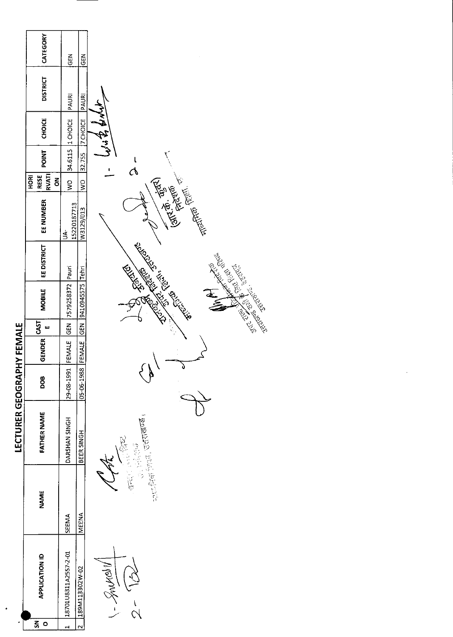|                           | CATEGORY                                     | <b>GEN</b>           | <b>GEN</b>       |                                                      |
|---------------------------|----------------------------------------------|----------------------|------------------|------------------------------------------------------|
|                           | <b>DISTRICT</b>                              | PAURI                | PAURI            |                                                      |
|                           | <b>CHOICE</b>                                | 1 CHOICE             | <b>7 CHOICE</b>  | きょみゅうそ                                               |
|                           | <b>POINT</b>                                 | 34.6115              | 32.755           | $\mathcal{Q}$<br>٠                                   |
|                           | RVATI<br>RESE<br><b>HORI</b><br>$\mathbf{g}$ | ş                    | $\frac{1}{2}$    |                                                      |
|                           | EE NUMBER                                    | 15220187713<br>Ś     | W3129/013        | <b>Entrancemental Communist Communist Register</b>   |
|                           | <b>EE DISTRICT</b>                           | Pauri                |                  | <b>Communication Residences</b><br><b>CONTRACTOR</b> |
|                           | MOBILE                                       | 7579258372           | 9410945575 Tehri |                                                      |
|                           | CAST<br>$\mathbf{u}$                         | <b>GEN</b>           | GEN              |                                                      |
|                           | <b>GENDER</b>                                | FEMALE               | FEMALE           |                                                      |
|                           | <b>BOO</b>                                   | 29-08-1991           | 05-06-1988       | Ù<br>$\lambda$                                       |
| LECTURER GEOGRAPHY FEMALE | <b>FATHER NAME</b>                           | DARSHAN SINGH        | BEER SINGH       | recently interesting the control of<br>"三个"<br>等等等   |
|                           | <b>NAME</b>                                  | <b>SEEMA</b>         | <b>MEENA</b>     | ्तर ।                                                |
|                           | <b>APPLICATION ID</b>                        | 18701U8311A25S7-2-01 | 189M113302W-02   | Arbonner-1                                           |
|                           | $\zeta$<br>$\circ$                           | H                    | $\overline{N}$   |                                                      |

 $\mathcal{A}$